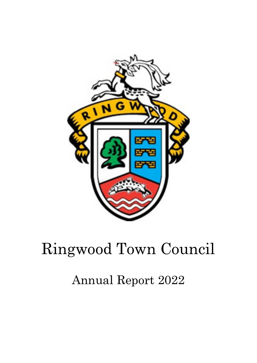

# Ringwood Town Council

## Annual Report 2022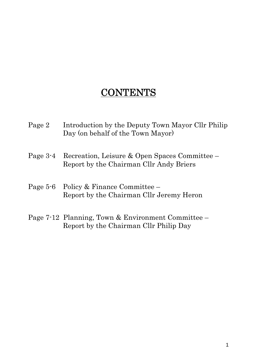## **CONTENTS**

- Page 2 Introduction by the Deputy Town Mayor Cllr Philip Day (on behalf of the Town Mayor)
- Page 3-4 Recreation, Leisure & Open Spaces Committee Report by the Chairman Cllr Andy Briers
- Page 5-6 Policy & Finance Committee Report by the Chairman Cllr Jeremy Heron
- Page 7-12 Planning, Town & Environment Committee Report by the Chairman Cllr Philip Day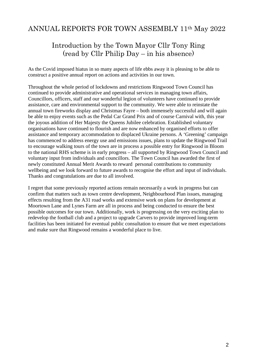## ANNUAL REPORTS FOR TOWN ASSEMBLY 11th May 2022

### Introduction by the Town Mayor Cllr Tony Ring (read by Cllr Philip Day – in his absence)

As the Covid imposed hiatus in so many aspects of life ebbs away it is pleasing to be able to construct a positive annual report on actions and activities in our town.

Throughout the whole period of lockdowns and restrictions Ringwood Town Council has continued to provide administrative and operational services in managing town affairs, Councillors, officers, staff and our wonderful legion of volunteers have continued to provide assistance, care and environmental support to the community. We were able to reinstate the annual town fireworks display and Christmas Fayre – both immensely successful and will again be able to enjoy events such as the Pedal Car Grand Prix and of course Carnival with, this year the joyous addition of Her Majesty the Queens Jubilee celebration. Established voluntary organisations have continued to flourish and are now enhanced by organised efforts to offer assistance and temporary accommodation to displaced Ukraine persons. A 'Greening' campaign has commenced to address energy use and emissions issues, plans to update the Ringwood Trail to encourage walking tours of the town are in process a possible entry for Ringwood in Bloom to the national RHS scheme is in early progress – all supported by Ringwood Town Council and voluntary input from individuals and councillors. The Town Council has awarded the first of newly constituted Annual Merit Awards to reward personal contributions to community wellbeing and we look forward to future awards to recognise the effort and input of individuals. Thanks and congratulations are due to all involved.

I regret that some previously reported actions remain necessarily a work in progress but can confirm that matters such as town centre development, Neighbourhood Plan issues, managing effects resulting from the A31 road works and extensive work on plans for development at Moortown Lane and Lynes Farm are all in process and being conducted to ensure the best possible outcomes for our town. Additionally, work is progressing on the very exciting plan to redevelop the football club and a project to upgrade Carvers to provide improved long-term facilities has been initiated for eventual public consultation to ensure that we meet expectations and make sure that Ringwood remains a wonderful place to live.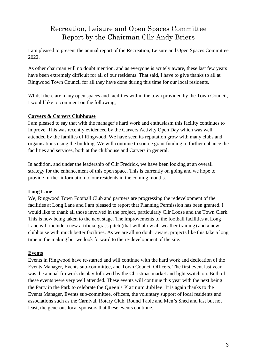## Recreation, Leisure and Open Spaces Committee Report by the Chairman Cllr Andy Briers

I am pleased to present the annual report of the Recreation, Leisure and Open Spaces Committee 2022.

As other chairman will no doubt mention, and as everyone is acutely aware, these last few years have been extremely difficult for all of our residents. That said, I have to give thanks to all at Ringwood Town Council for all they have done during this time for our local residents.

Whilst there are many open spaces and facilities within the town provided by the Town Council, I would like to comment on the following;

#### **Carvers & Carvers Clubhouse**

I am pleased to say that with the manager's hard work and enthusiasm this facility continues to improve. This was recently evidenced by the Carvers Activity Open Day which was well attended by the families of Ringwood. We have seen its reputation grow with many clubs and organisations using the building. We will continue to source grant funding to further enhance the facilities and services, both at the clubhouse and Carvers in general.

In addition, and under the leadership of Cllr Fredrick, we have been looking at an overall strategy for the enhancement of this open space. This is currently on going and we hope to provide further information to our residents in the coming months.

#### **Long Lane**

We, Ringwood Town Football Club and partners are progressing the redevelopment of the facilities at Long Lane and I am pleased to report that Planning Permission has been granted. I would like to thank all those involved in the project, particularly Cllr Loose and the Town Clerk. This is now being taken to the next stage. The improvements to the football facilities at Long Lane will include a new artificial grass pitch (that will allow all-weather training) and a new clubhouse with much better facilities. As we are all no doubt aware, projects like this take a long time in the making but we look forward to the re-development of the site.

#### **Events**

Events in Ringwood have re-started and will continue with the hard work and dedication of the Events Manager, Events sub-committee, and Town Council Officers. The first event last year was the annual firework display followed by the Christmas market and light switch on. Both of these events were very well attended. These events will continue this year with the next being the Party in the Park to celebrate the Queen's Platinum Jubilee. It is again thanks to the Events Manager, Events sub-committee, officers, the voluntary support of local residents and associations such as the Carnival, Rotary Club, Round Table and Men's Shed and last but not least, the generous local sponsors that these events continue.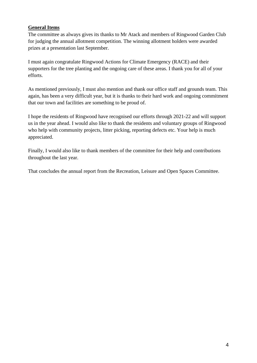#### **General Items**

The committee as always gives its thanks to Mr Atack and members of Ringwood Garden Club for judging the annual allotment competition. The winning allotment holders were awarded prizes at a presentation last September.

I must again congratulate Ringwood Actions for Climate Emergency (RACE) and their supporters for the tree planting and the ongoing care of these areas. I thank you for all of your efforts.

As mentioned previously, I must also mention and thank our office staff and grounds team. This again, has been a very difficult year, but it is thanks to their hard work and ongoing commitment that our town and facilities are something to be proud of.

I hope the residents of Ringwood have recognised our efforts through 2021-22 and will support us in the year ahead. I would also like to thank the residents and voluntary groups of Ringwood who help with community projects, litter picking, reporting defects etc. Your help is much appreciated.

Finally, I would also like to thank members of the committee for their help and contributions throughout the last year.

That concludes the annual report from the Recreation, Leisure and Open Spaces Committee.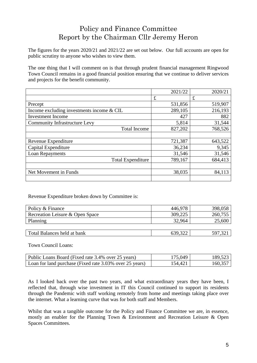## Policy and Finance Committee Report by the Chairman Cllr Jeremy Heron

The figures for the years 2020/21 and 2021/22 are set out below. Our full accounts are open for public scrutiny to anyone who wishes to view them.

The one thing that I will comment on is that through prudent financial management Ringwood Town Council remains in a good financial position ensuring that we continue to deliver services and projects for the benefit community.

|                                           | 2021/22 | 2020/21     |
|-------------------------------------------|---------|-------------|
|                                           | £       | $\mathbf f$ |
| Precept                                   | 531,856 | 519,907     |
| Income excluding investments income & CIL | 289,105 | 216,193     |
| <b>Investment Income</b>                  | 427     | 882         |
| <b>Community Infrastructure Levy</b>      | 5,814   | 31,544      |
| <b>Total Income</b>                       | 827,202 | 768,526     |
|                                           |         |             |
| Revenue Expenditure                       | 721,387 | 643,522     |
| Capital Expenditure                       | 36,234  | 9,345       |
| Loan Repayments                           | 31,546  | 31,546      |
| <b>Total Expenditure</b>                  | 789,167 | 684,413     |
|                                           |         |             |
| Net Movement in Funds                     | 38,035  | 84,113      |
|                                           |         |             |

Revenue Expenditure broken down by Committee is:

| Policy & Finance                | 446.978 | 398,058 |
|---------------------------------|---------|---------|
| Recreation Leisure & Open Space | 309,225 | 260,755 |
| Planning                        | 32.964  | 25,600  |
|                                 |         |         |
| Total Balances held at bank     | 639,322 | 597,32  |

Town Council Loans:

| Public Loans Board (Fixed rate 3.4% over 25 years)      | 75 049  | 189.523 |
|---------------------------------------------------------|---------|---------|
| Loan for land purchase (Fixed rate 3.03% over 25 years) | 154.421 | 160.357 |

As I looked back over the past two years, and what extraordinary years they have been, I reflected that, through wise investment in IT this Council continued to support its residents through the Pandemic with staff working remotely from home and meetings taking place over the internet. What a learning curve that was for both staff and Members.

Whilst that was a tangible outcome for the Policy and Finance Committee we are, in essence, mostly an enabler for the Planning Town & Environment and Recreation Leisure & Open Spaces Committees.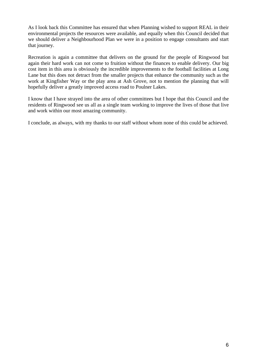As I look back this Committee has ensured that when Planning wished to support REAL in their environmental projects the resources were available, and equally when this Council decided that we should deliver a Neighbourhood Plan we were in a position to engage consultants and start that journey.

Recreation is again a committee that delivers on the ground for the people of Ringwood but again their hard work can not come to fruition without the finances to enable delivery. Our big cost item in this area is obviously the incredible improvements to the football facilities at Long Lane but this does not detract from the smaller projects that enhance the community such as the work at Kingfisher Way or the play area at Ash Grove, not to mention the planning that will hopefully deliver a greatly improved access road to Poulner Lakes.

I know that I have strayed into the area of other committees but I hope that this Council and the residents of Ringwood see us all as a single team working to improve the lives of those that live and work within our most amazing community.

I conclude, as always, with my thanks to our staff without whom none of this could be achieved.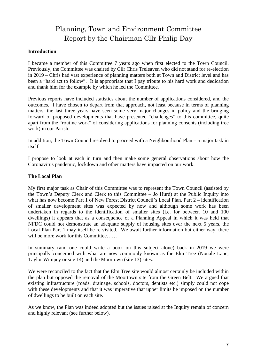## Planning, Town and Environment Committee Report by the Chairman Cllr Philip Day

#### **Introduction**

I became a member of this Committee 7 years ago when first elected to the Town Council. Previously, the Committee was chaired by Cllr Chris Treleaven who did not stand for re-election in 2019 – Chris had vast experience of planning matters both at Town and District level and has been a "hard act to follow". It is appropriate that I pay tribute to his hard work and dedication and thank him for the example by which he led the Committee.

Previous reports have included statistics about the number of applications considered, and the outcomes. I have chosen to depart from that approach, not least because in terms of planning matters, the last three years have seen some very major changes in policy and the bringing forward of proposed developments that have presented "challenges" to this committee, quite apart from the "routine work" of considering applications for planning consents (including tree work) in our Parish.

In addition, the Town Council resolved to proceed with a Neighbourhood Plan – a major task in itself.

I propose to look at each in turn and then make some general observations about how the Coronavirus pandemic, lockdown and other matters have impacted on our work.

#### **The Local Plan**

My first major task as Chair of this Committee was to represent the Town Council (assisted by the Town's Deputy Clerk and Clerk to this Committee – Jo Hurd) at the Public Inquiry into what has now become Part 1 of New Forest District Council's Local Plan. Part 2 – identification of smaller development sites was expected by now and although some work has been undertaken in regards to the identification of smaller sites (i.e. for between 10 and 100 dwellings) it appears that as a consequence of a Planning Appeal in which it was held that NFDC could not demonstrate an adequate supply of housing sites over the next 5 years, the Local Plan Part 1 may itself be re-visited. We await further information but either way, there will be more work for this Committee……

In summary (and one could write a book on this subject alone) back in 2019 we were principally concerned with what are now commonly known as the Elm Tree (Nouale Lane, Taylor Wimpey or site 14) and the Moortown (site 13) sites.

We were reconciled to the fact that the Elm Tree site would almost certainly be included within the plan but opposed the removal of the Moortown site from the Green Belt. We argued that existing infrastructure (roads, drainage, schools, doctors, dentists etc.) simply could not cope with these developments and that it was imperative that upper limits be imposed on the number of dwellings to be built on each site.

As we know, the Plan was indeed adopted but the issues raised at the Inquiry remain of concern and highly relevant (see further below).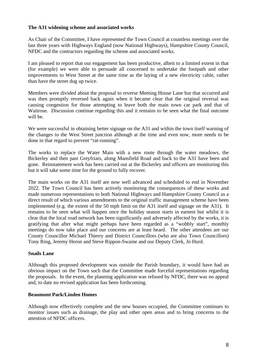#### **The A31 widening scheme and associated works**

As Chair of the Committee, I have represented the Town Council at countless meetings over the last three years with Highways England (now National Highways), Hampshire County Council, NFDC and the contractors regarding the scheme and associated works.

I am pleased to report that our engagement has been productive, albeit to a limited extent in that (for example) we were able to persuade all concerned to undertake the footpath and other improvements to West Street at the same time as the laying of a new electricity cable, rather than have the street dug up twice.

Members were divided about the proposal to reverse Meeting House Lane but that occurred and was then promptly reversed back again when it became clear that the original reversal was causing congestion for those attempting to leave both the main town car park and that of Waitrose. Discussion continue regarding this and it remains to be seen what the final outcome will be.

We were successful in obtaining better signage on the A31 and within the town itself warning of the changes to the West Street junction although at the time and even now, more needs to be done in that regard to prevent "rat-running".

The works to replace the Water Main with a new route through the water meadows, the Bickerley and then past Greyfriars, along Mansfield Road and back to the A31 have been and gone. Reinstatement work has been carried out at the Bickerley and officers are monitoring this but it will take some time for the ground to fully recover.

The main works on the A31 itself are now well advanced and scheduled to end in November 2022. The Town Council has been actively monitoring the consequences of these works and made numerous representations to both National Highways and Hampshire County Council as a direct result of which various amendments to the original traffic management scheme have been implemented (e.g. the extent of the 50 mph limit on the A31 itself and signage on the A31). It remains to be seen what will happen once the holiday season starts in earnest but whilst it is clear that the local road network has been significantly and adversely affected by the works, it is gratifying that after what might perhaps have been regarded as a "wobbly start", monthly meetings do now take place and our concerns are at least heard. The other attendees are our County Councillor Michael Thierry and District Councillors (who are also Town Councillors) Tony Ring, Jeremy Heron and Steve Rippon-Swaine and our Deputy Clerk, Jo Hurd.

#### **Snails Lane**

Although this proposed development was outside the Parish boundary, it would have had an obvious impact on the Town such that the Committee made forceful representations regarding the proposals. In the event, the planning application was refused by NFDC, there was no appeal and, to date no revised application has been forthcoming.

#### **Beaumont Park/Linden Homes**

Although now effectively complete and the new houses occupied, the Committee continues to monitor issues such as drainage, the play and other open areas and to bring concerns to the attention of NFDC officers.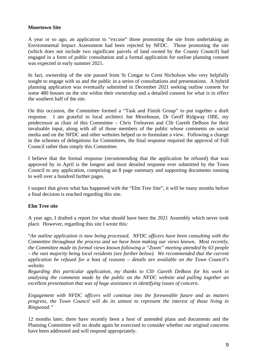#### **Moortown Site**

A year or so ago, an application to "excuse" those promoting the site from undertaking an Environmental Impact Assessment had been rejected by NFDC. Those promoting the site (which does not include two significant parcels of land owned by the County Council) had engaged in a form of public consultation and a formal application for outline planning consent was expected in early summer 2021.

In fact, ownership of the site passed from St Congar to Crest Nicholson who very helpfully sought to engage with us and the public in a series of consultations and presentations. A hybrid planning application was eventually submitted in December 2021 seeking outline consent for some 480 houses on the site within their ownership and a detailed consent for what is in effect the southern half of the site.

On this occasion, the Committee formed a "Task and Finish Group" to put together a draft response. I am grateful to local architect Joe Moorhouse, Dr Geoff Ridgway OBE, my predecessor as chair of this Committee – Chris Treleaven and Cllr Gareth DeBoos for their invaluable input, along with all of those members of the public whose comments on social media and on the NFDC and other websites helped us to formulate a view. Following a change in the schemes of delegations for Committees, the final response required the approval of Full Council rather than simply this Committee.

I believe that the formal response (recommending that the application be refused) that was approved by in April is the longest and most detailed response ever submitted by the Town Council to any application, comprising an 8 page summary and supporting documents running to well over a hundred further pages.

I suspect that given what has happened with the "Elm Tree Site", it will be many months before a final decision is reached regarding this site.

#### **Elm Tree site**

A year ago, I drafted a report for what should have been the 2021 Assembly which never took place. However, regarding this site I wrote this:

"*An outline application is now being processed. NFDC officers have been consulting with the Committee throughout the process and we have been making our views known. Most recently, the Committee made its formal views known following a "Zoom" meeting attended by 63 people – the vast majority being local residents (see further below). We recommended that the current application be refused for a host of reasons – details are available on the Town Council's website.* 

*Regarding this particular application, my thanks to Cllr Gareth DeBoos for his work in analysing the comments made by the public on the NFDC website and pulling together an excellent presentation that was of huge assistance in identifying issues of concern.* 

*Engagement with NFDC officers will continue into the foreseeable future and as matters progress, the Town Council will do its utmost to represent the interest of those living in Ringwood."* 

12 months later, there have recently been a host of amended plans and documents and the Planning Committee will no doubt again be exercised to consider whether our original concerns have been addressed and will respond appropriately.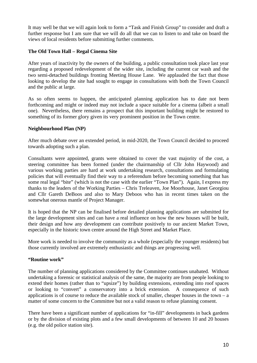It may well be that we will again look to form a "Task and Finish Group" to consider and draft a further response but I am sure that we will do all that we can to listen to and take on board the views of local residents before submitting further comments.

#### **The Old Town Hall – Regal Cinema Site**

After years of inactivity by the owners of the building, a public consultation took place last year regarding a proposed redevelopment of the wider site, including the current car wash and the two semi-detached buildings fronting Meeting House Lane. We applauded the fact that those looking to develop the site had sought to engage in consultations with both the Town Council and the public at large.

As so often seems to happen, the anticipated planning application has to date not been forthcoming and might or indeed may not include a space suitable for a cinema (albeit a small one). Nevertheless, there remains a prospect that this important building might be restored to something of its former glory given its very prominent position in the Town centre.

#### **Neighbourhood Plan (NP)**

After much debate over an extended period, in mid-2020, the Town Council decided to proceed towards adopting such a plan.

Consultants were appointed, grants were obtained to cover the vast majority of the cost, a steering committee has been formed (under the chairmanship of Cllr John Haywood) and various working parties are hard at work undertaking research, consultations and formulating policies that will eventually find their way to a referendum before becoming something that has some real legal "bite" (which is not the case with the earlier "Town Plan"). Again, I express my thanks to the leaders of the Working Parties – Chris Treleaven, Joe Moorhouse, Janet Georgiou and Cllr Gareth DeBoos and also to Mary Deboos who has in recent times taken on the somewhat onerous mantle of Project Manager.

It is hoped that the NP can be finalised before detailed planning applications are submitted for the large development sites and can have a real influence on how the new houses will be built, their design and how any development can contribute positively to our ancient Market Town, especially in the historic town centre around the High Street and Market Place.

More work is needed to involve the community as a whole (especially the younger residents) but those currently involved are extremely enthusiastic and things are progressing well.

#### **"Routine work"**

The number of planning applications considered by the Committee continues unabated. Without undertaking a forensic or statistical analysis of the same, the majority are from people looking to extend their homes (rather than to "upsize") by building extensions, extending into roof spaces or looking to "convert" a conservatory into a brick extension. A consequence of such applications is of course to reduce the available stock of smaller, cheaper houses in the town – a matter of some concern to the Committee but not a valid reason to refuse planning consent.

There have been a significant number of applications for "in-fill" developments in back gardens or by the division of existing plots and a few small developments of between 10 and 20 houses (e.g. the old police station site).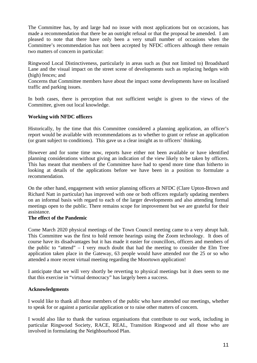The Committee has, by and large had no issue with most applications but on occasions, has made a recommendation that there be an outright refusal or that the proposal be amended. I am pleased to note that there have only been a very small number of occasions when the Committee's recommendation has not been accepted by NFDC officers although there remain two matters of concern in particular:

Ringwood Local Distinctiveness, particularly in areas such as (but not limited to) Broadshard Lane and the visual impact on the street scene of developments such as replacing hedges with (high) fences; and

Concerns that Committee members have about the impact some developments have on localised traffic and parking issues.

In both cases, there is perception that not sufficient weight is given to the views of the Committee, given out local knowledge.

#### **Working with NFDC officers**

Historically, by the time that this Committee considered a planning application, an officer's report would be available with recommendations as to whether to grant or refuse an application (or grant subject to conditions). This gave us a clear insight as to officers' thinking.

However and for some time now, reports have either not been available or have identified planning considerations without giving an indication of the view likely to be taken by officers. This has meant that members of the Committee have had to spend more time than hitherto in looking at details of the applications before we have been in a position to formulate a recommendation.

On the other hand, engagement with senior planning officers at NFDC (Clare Upton-Brown and Richard Natt in particular) has improved with one or both officers regularly updating members on an informal basis with regard to each of the larger developments and also attending formal meetings open to the public. There remains scope for improvement but we are grateful for their assistance.

#### **The effect of the Pandemic**

Come March 2020 physical meetings of the Town Council meeting came to a very abrupt halt. This Committee was the first to hold remote hearings using the Zoom technology. It does of course have its disadvantages but it has made it easier for councillors, officers and members of the public to "attend" – I very much doubt that had the meeting to consider the Elm Tree application taken place in the Gateway, 63 people would have attended nor the 25 or so who attended a more recent virtual meeting regarding the Moortown application!

I anticipate that we will very shortly be reverting to physical meetings but it does seem to me that this exercise in "virtual democracy" has largely been a success.

#### **Acknowledgments**

I would like to thank all those members of the public who have attended our meetings, whether to speak for or against a particular application or to raise other matters of concern.

I would also like to thank the various organisations that contribute to our work, including in particular Ringwood Society, RACE, REAL, Transition Ringwood and all those who are involved in formulating the Neighbourhood Plan.